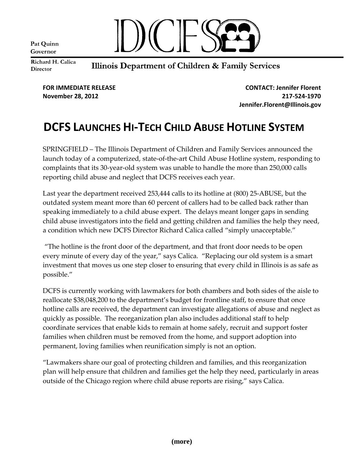Pat Quinn Governor



Richard H. Calica **Director** 

## Illinois Department of Children & Family Services

**FOR IMMEDIATE RELEASE CONTACT: Jennifer Florent November 28, 2012 217-524-1970 Jennifer.Florent@Illinois.gov**

# **DCFS LAUNCHES HI-TECH CHILD ABUSE HOTLINE SYSTEM**

SPRINGFIELD – The Illinois Department of Children and Family Services announced the launch today of a computerized, state-of-the-art Child Abuse Hotline system, responding to complaints that its 30-year-old system was unable to handle the more than 250,000 calls reporting child abuse and neglect that DCFS receives each year.

Last year the department received 253,444 calls to its hotline at (800) 25-ABUSE, but the outdated system meant more than 60 percent of callers had to be called back rather than speaking immediately to a child abuse expert. The delays meant longer gaps in sending child abuse investigators into the field and getting children and families the help they need, a condition which new DCFS Director Richard Calica called "simply unacceptable."

"The hotline is the front door of the department, and that front door needs to be open every minute of every day of the year," says Calica. "Replacing our old system is a smart investment that moves us one step closer to ensuring that every child in Illinois is as safe as possible."

DCFS is currently working with lawmakers for both chambers and both sides of the aisle to reallocate \$38,048,200 to the department's budget for frontline staff, to ensure that once hotline calls are received, the department can investigate allegations of abuse and neglect as quickly as possible. The reorganization plan also includes additional staff to help coordinate services that enable kids to remain at home safely, recruit and support foster families when children must be removed from the home, and support adoption into permanent, loving families when reunification simply is not an option.

"Lawmakers share our goal of protecting children and families, and this reorganization plan will help ensure that children and families get the help they need, particularly in areas outside of the Chicago region where child abuse reports are rising," says Calica.